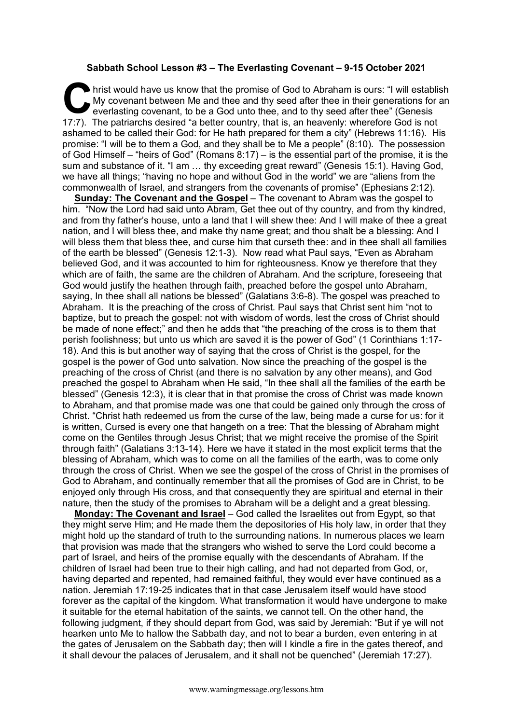## **Sabbath School Lesson #3 – The Everlasting Covenant – 9-15 October 2021**

hrist would have us know that the promise of God to Abraham is ours: "I will establish My covenant between Me and thee and thy seed after thee in their generations for an everlasting covenant, to be a God unto thee, and to My covenant between Me and thee and thy seed after thee in their generations for an everlasting covenant, to be a God unto thee, and to thy seed after thee" (Genesis 17:7). The patriarchs desired "a better country, that is, an heavenly: wherefore God is not ashamed to be called their God: for He hath prepared for them a city" (Hebrews 11:16). His promise: "I will be to them a God, and they shall be to Me a people" (8:10). The possession of God Himself – "heirs of God" (Romans 8:17) – is the essential part of the promise, it is the sum and substance of it. "I am … thy exceeding great reward" (Genesis 15:1). Having God, we have all things; "having no hope and without God in the world" we are "aliens from the commonwealth of Israel, and strangers from the covenants of promise" (Ephesians 2:12).

**Sunday: The Covenant and the Gospel** – The covenant to Abram was the gospel to him. "Now the Lord had said unto Abram, Get thee out of thy country, and from thy kindred, and from thy father's house, unto a land that I will shew thee: And I will make of thee a great nation, and I will bless thee, and make thy name great; and thou shalt be a blessing: And I will bless them that bless thee, and curse him that curseth thee: and in thee shall all families of the earth be blessed" (Genesis 12:1-3). Now read what Paul says, "Even as Abraham believed God, and it was accounted to him for righteousness. Know ye therefore that they which are of faith, the same are the children of Abraham. And the scripture, foreseeing that God would justify the heathen through faith, preached before the gospel unto Abraham, saying, In thee shall all nations be blessed" (Galatians 3:6-8). The gospel was preached to Abraham. It is the preaching of the cross of Christ. Paul says that Christ sent him "not to baptize, but to preach the gospel: not with wisdom of words, lest the cross of Christ should be made of none effect;" and then he adds that "the preaching of the cross is to them that perish foolishness; but unto us which are saved it is the power of God" (1 Corinthians 1:17- 18). And this is but another way of saying that the cross of Christ is the gospel, for the gospel is the power of God unto salvation. Now since the preaching of the gospel is the preaching of the cross of Christ (and there is no salvation by any other means), and God preached the gospel to Abraham when He said, "In thee shall all the families of the earth be blessed" (Genesis 12:3), it is clear that in that promise the cross of Christ was made known to Abraham, and that promise made was one that could be gained only through the cross of Christ. "Christ hath redeemed us from the curse of the law, being made a curse for us: for it is written, Cursed is every one that hangeth on a tree: That the blessing of Abraham might come on the Gentiles through Jesus Christ; that we might receive the promise of the Spirit through faith" (Galatians 3:13-14). Here we have it stated in the most explicit terms that the blessing of Abraham, which was to come on all the families of the earth, was to come only through the cross of Christ. When we see the gospel of the cross of Christ in the promises of God to Abraham, and continually remember that all the promises of God are in Christ, to be enjoyed only through His cross, and that consequently they are spiritual and eternal in their nature, then the study of the promises to Abraham will be a delight and a great blessing.

**Monday: The Covenant and Israel** – God called the Israelites out from Egypt, so that they might serve Him; and He made them the depositories of His holy law, in order that they might hold up the standard of truth to the surrounding nations. In numerous places we learn that provision was made that the strangers who wished to serve the Lord could become a part of Israel, and heirs of the promise equally with the descendants of Abraham. If the children of Israel had been true to their high calling, and had not departed from God, or, having departed and repented, had remained faithful, they would ever have continued as a nation. Jeremiah 17:19-25 indicates that in that case Jerusalem itself would have stood forever as the capital of the kingdom. What transformation it would have undergone to make it suitable for the eternal habitation of the saints, we cannot tell. On the other hand, the following judgment, if they should depart from God, was said by Jeremiah: "But if ye will not hearken unto Me to hallow the Sabbath day, and not to bear a burden, even entering in at the gates of Jerusalem on the Sabbath day; then will I kindle a fire in the gates thereof, and it shall devour the palaces of Jerusalem, and it shall not be quenched" (Jeremiah 17:27).